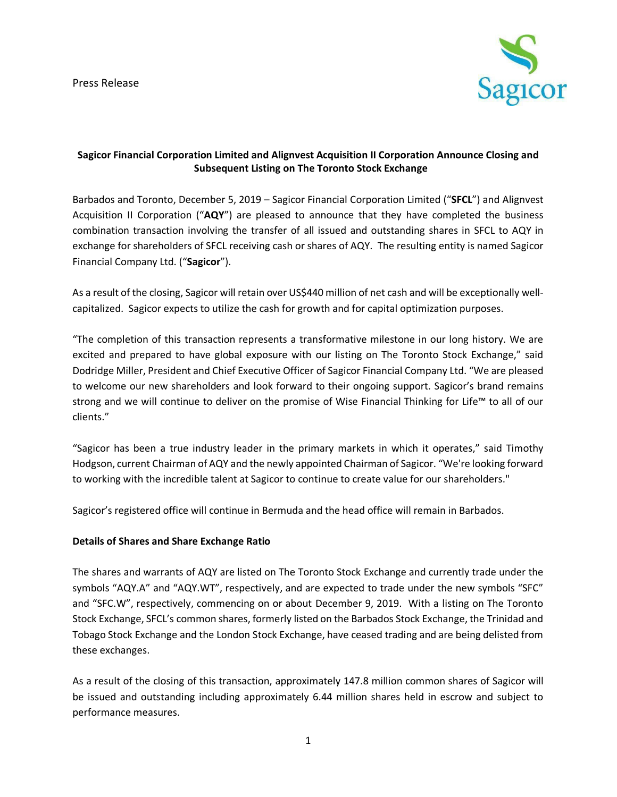

# **Sagicor Financial Corporation Limited and Alignvest Acquisition II Corporation Announce Closing and Subsequent Listing on The Toronto Stock Exchange**

Barbados and Toronto, December 5, 2019 – Sagicor Financial Corporation Limited ("**SFCL**") and Alignvest Acquisition II Corporation ("**AQY**") are pleased to announce that they have completed the business combination transaction involving the transfer of all issued and outstanding shares in SFCL to AQY in exchange for shareholders of SFCL receiving cash or shares of AQY. The resulting entity is named Sagicor Financial Company Ltd. ("**Sagicor**").

As a result of the closing, Sagicor will retain over US\$440 million of net cash and will be exceptionally wellcapitalized. Sagicor expects to utilize the cash for growth and for capital optimization purposes.

"The completion of this transaction represents a transformative milestone in our long history. We are excited and prepared to have global exposure with our listing on The Toronto Stock Exchange," said Dodridge Miller, President and Chief Executive Officer of Sagicor Financial Company Ltd. "We are pleased to welcome our new shareholders and look forward to their ongoing support. Sagicor's brand remains strong and we will continue to deliver on the promise of Wise Financial Thinking for Life™ to all of our clients."

"Sagicor has been a true industry leader in the primary markets in which it operates," said Timothy Hodgson, current Chairman of AQY and the newly appointed Chairman of Sagicor. "We're looking forward to working with the incredible talent at Sagicor to continue to create value for our shareholders."

Sagicor's registered office will continue in Bermuda and the head office will remain in Barbados.

#### **Details of Shares and Share Exchange Ratio**

The shares and warrants of AQY are listed on The Toronto Stock Exchange and currently trade under the symbols "AQY.A" and "AQY.WT", respectively, and are expected to trade under the new symbols "SFC" and "SFC.W", respectively, commencing on or about December 9, 2019. With a listing on The Toronto Stock Exchange, SFCL's common shares, formerly listed on the Barbados Stock Exchange, the Trinidad and Tobago Stock Exchange and the London Stock Exchange, have ceased trading and are being delisted from these exchanges.

As a result of the closing of this transaction, approximately 147.8 million common shares of Sagicor will be issued and outstanding including approximately 6.44 million shares held in escrow and subject to performance measures.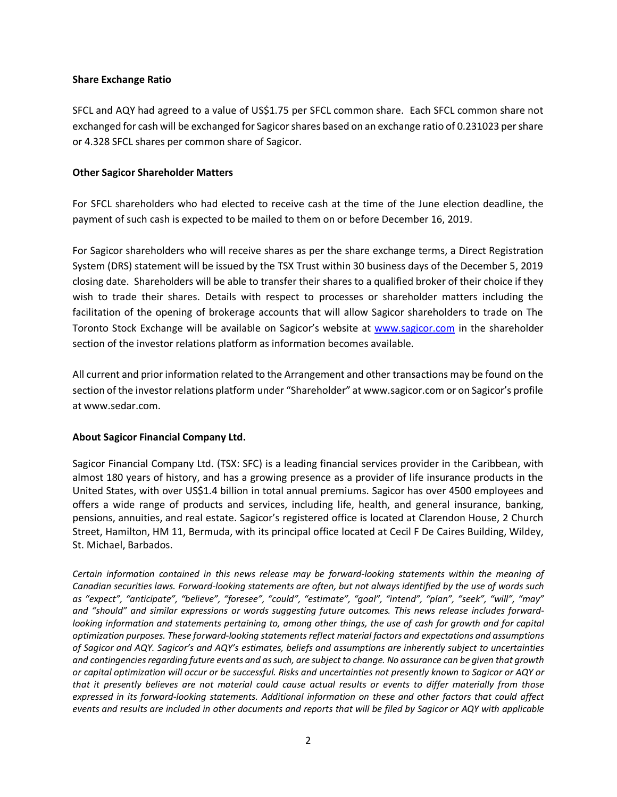#### **Share Exchange Ratio**

SFCL and AQY had agreed to a value of US\$1.75 per SFCL common share. Each SFCL common share not exchanged for cash will be exchanged for Sagicor shares based on an exchange ratio of 0.231023 per share or 4.328 SFCL shares per common share of Sagicor.

# **Other Sagicor Shareholder Matters**

For SFCL shareholders who had elected to receive cash at the time of the June election deadline, the payment of such cash is expected to be mailed to them on or before December 16, 2019.

For Sagicor shareholders who will receive shares as per the share exchange terms, a Direct Registration System (DRS) statement will be issued by the TSX Trust within 30 business days of the December 5, 2019 closing date. Shareholders will be able to transfer their shares to a qualified broker of their choice if they wish to trade their shares. Details with respect to processes or shareholder matters including the facilitation of the opening of brokerage accounts that will allow Sagicor shareholders to trade on The Toronto Stock Exchange will be available on Sagicor's website at [www.sagicor.com](http://www.sagicor.com/) in the shareholder section of the investor relations platform as information becomes available.

All current and prior information related to the Arrangement and other transactions may be found on the section of the investor relations platform under "Shareholder" at www.sagicor.com or on Sagicor's profile at www.sedar.com.

# **About Sagicor Financial Company Ltd.**

Sagicor Financial Company Ltd. (TSX: SFC) is a leading financial services provider in the Caribbean, with almost 180 years of history, and has a growing presence as a provider of life insurance products in the United States, with over US\$1.4 billion in total annual premiums. Sagicor has over 4500 employees and offers a wide range of products and services, including life, health, and general insurance, banking, pensions, annuities, and real estate. Sagicor's registered office is located at Clarendon House, 2 Church Street, Hamilton, HM 11, Bermuda, with its principal office located at Cecil F De Caires Building, Wildey, St. Michael, Barbados.

*Certain information contained in this news release may be forward-looking statements within the meaning of Canadian securities laws. Forward-looking statements are often, but not always identified by the use of words such as "expect", "anticipate", "believe", "foresee", "could", "estimate", "goal", "intend", "plan", "seek", "will", "may" and "should" and similar expressions or words suggesting future outcomes. This news release includes forwardlooking information and statements pertaining to, among other things, the use of cash for growth and for capital optimization purposes. These forward-looking statements reflect material factors and expectations and assumptions of Sagicor and AQY. Sagicor's and AQY's estimates, beliefs and assumptions are inherently subject to uncertainties and contingencies regarding future events and as such, are subject to change. No assurance can be given that growth or capital optimization will occur or be successful. Risks and uncertainties not presently known to Sagicor or AQY or that it presently believes are not material could cause actual results or events to differ materially from those expressed in its forward-looking statements. Additional information on these and other factors that could affect events and results are included in other documents and reports that will be filed by Sagicor or AQY with applicable*